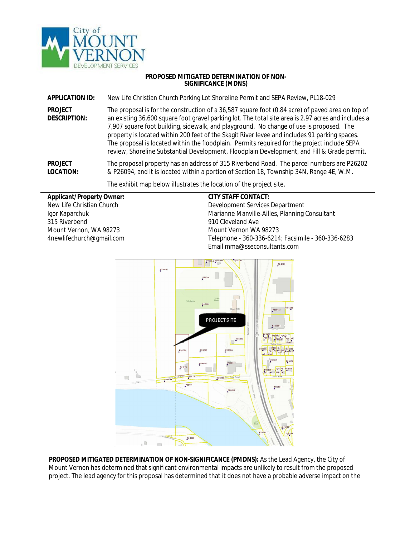

## **PROPOSED MITIGATED DETERMINATION OF NON-SIGNIFICANCE (MDNS)**

**APPLICATION ID:** New Life Christian Church Parking Lot Shoreline Permit and SEPA Review, PL18-029

**PROJECT DESCRIPTION:** The proposal is for the construction of a 36,587 square foot (0.84 acre) of paved area on top of an existing 36,600 square foot gravel parking lot. The total site area is 2.97 acres and includes a 7,907 square foot building, sidewalk, and playground. No change of use is proposed. The property is located within 200 feet of the Skagit River levee and includes 91 parking spaces. The proposal is located within the floodplain. Permits required for the project include SEPA review, Shoreline Substantial Development, Floodplain Development, and Fill & Grade permit.

**PROJECT LOCATION:** The proposal property has an address of 315 Riverbend Road. The parcel numbers are P26202 & P26094, and it is located within a portion of Section 18, Township 34N, Range 4E, W.M.

The exhibit map below illustrates the location of the project site.

## **Applicant/Property Owner:**

New Life Christian Church Igor Kaparchuk 315 Riverbend Mount Vernon, WA 98273 4newlifechurch@gmail.com

## **CITY STAFF CONTACT:**

Development Services Department Marianne Manville-Ailles, Planning Consultant 910 Cleveland Ave Mount Vernon WA 98273 Telephone - 360-336-6214; Facsimile - 360-336-6283 Email mma@sseconsultants.com



**PROPOSED MITIGATED DETERMINATION OF NON-SIGNIFICANCE (PMDNS):** As the Lead Agency, the City of Mount Vernon has determined that significant environmental impacts are unlikely to result from the proposed project. The lead agency for this proposal has determined that it does not have a probable adverse impact on the